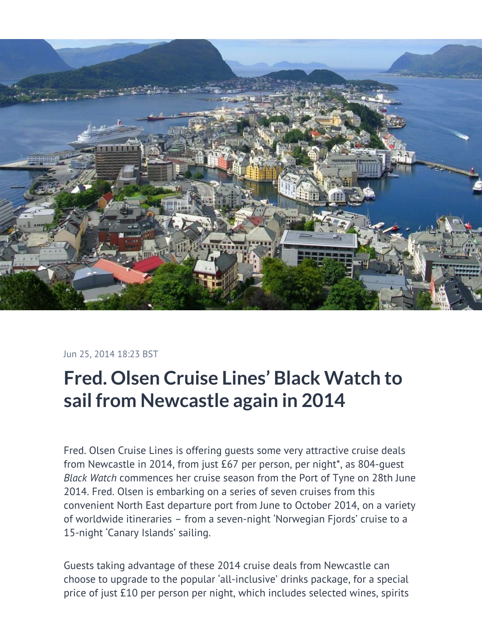

Jun 25, 2014 18:23 BST

# **Fred. Olsen Cruise Lines' Black Watch to sail from Newcastle again in 2014**

Fred. Olsen Cruise Lines is offering guests some very attractive cruise deals from Newcastle in 2014, from just £67 per person, per night\*, as 804-guest *Black Watch* commences her cruise season from the Port of Tyne on 28th June 2014. Fred. Olsen is embarking on a series of seven cruises from this convenient North East departure port from June to October 2014, on a variety of worldwide itineraries – from a seven-night 'Norwegian Fjords' cruise to a 15-night 'Canary Islands' sailing.

Guests taking advantage of these 2014 cruise deals from Newcastle can choose to upgrade to the popular 'all-inclusive' drinks package, for a special price of just £10 per person per night, which includes selected wines, spirits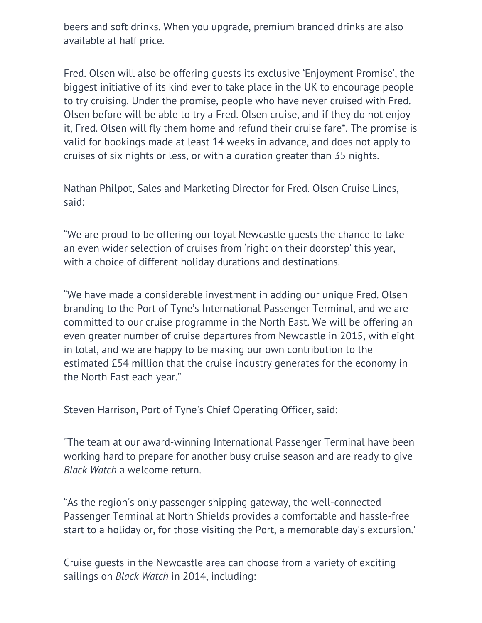beers and soft drinks. When you upgrade, premium branded drinks are also available at half price.

Fred. Olsen will also be offering guests its exclusive 'Enjoyment Promise', the biggest initiative of its kind ever to take place in the UK to encourage people to try cruising. Under the promise, people who have never cruised with Fred. Olsen before will be able to try a Fred. Olsen cruise, and if they do not enjoy it, Fred. Olsen will fly them home and refund their cruise fare\*. The promise is valid for bookings made at least 14 weeks in advance, and does not apply to cruises of six nights or less, or with a duration greater than 35 nights.

Nathan Philpot, Sales and Marketing Director for Fred. Olsen Cruise Lines, said:

"We are proud to be offering our loyal Newcastle guests the chance to take an even wider selection of cruises from 'right on their doorstep' this year, with a choice of different holiday durations and destinations.

"We have made a considerable investment in adding our unique Fred. Olsen branding to the Port of Tyne's International Passenger Terminal, and we are committed to our cruise programme in the North East. We will be offering an even greater number of cruise departures from Newcastle in 2015, with eight in total, and we are happy to be making our own contribution to the estimated £54 million that the cruise industry generates for the economy in the North East each year."

Steven Harrison, Port of Tyne's Chief Operating Officer, said:

"The team at our award-winning International Passenger Terminal have been working hard to prepare for another busy cruise season and are ready to give *Black Watch* a welcome return.

"As the region's only passenger shipping gateway, the well-connected Passenger Terminal at North Shields provides a comfortable and hassle-free start to a holiday or, for those visiting the Port, a memorable day's excursion."

Cruise guests in the Newcastle area can choose from a variety of exciting sailings on *Black Watch* in 2014, including: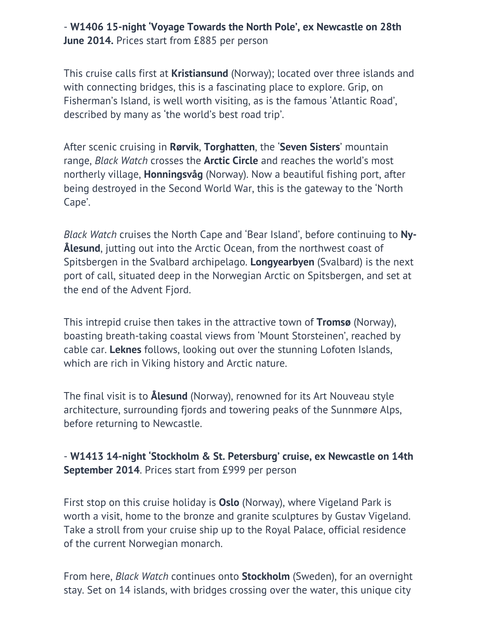#### - **W1406 15-night 'Voyage Towards the North Pole', ex Newcastle on 28th June 2014.** Prices start from £885 per person

This cruise calls first at **Kristiansund** (Norway); located over three islands and with connecting bridges, this is a fascinating place to explore. Grip, on Fisherman's Island, is well worth visiting, as is the famous 'Atlantic Road', described by many as 'the world's best road trip'.

After scenic cruising in **Rørvik**, **Torghatten**, the '**Seven Sisters**' mountain range, *Black Watch* crosses the **Arctic Circle** and reaches the world's most northerly village, **Honningsvåg** (Norway). Now a beautiful fishing port, after being destroyed in the Second World War, this is the gateway to the 'North Cape'.

*Black Watch* cruises the North Cape and 'Bear Island', before continuing to **Ny-Ålesund**, jutting out into the Arctic Ocean, from the northwest coast of Spitsbergen in the Svalbard archipelago. **Longyearbyen** (Svalbard) is the next port of call, situated deep in the Norwegian Arctic on Spitsbergen, and set at the end of the Advent Fjord.

This intrepid cruise then takes in the attractive town of **Tromsø** (Norway), boasting breath-taking coastal views from 'Mount Storsteinen', reached by cable car. **Leknes** follows, looking out over the stunning Lofoten Islands, which are rich in Viking history and Arctic nature.

The final visit is to **Ålesund** (Norway), renowned for its Art Nouveau style architecture, surrounding fjords and towering peaks of the Sunnmøre Alps, before returning to Newcastle.

### - **W1413 14-night 'Stockholm & St. Petersburg' cruise, ex Newcastle on 14th September 2014**. Prices start from £999 per person

First stop on this cruise holiday is **Oslo** (Norway), where Vigeland Park is worth a visit, home to the bronze and granite sculptures by Gustav Vigeland. Take a stroll from your cruise ship up to the Royal Palace, official residence of the current Norwegian monarch.

From here, *Black Watch* continues onto **Stockholm** (Sweden), for an overnight stay. Set on 14 islands, with bridges crossing over the water, this unique city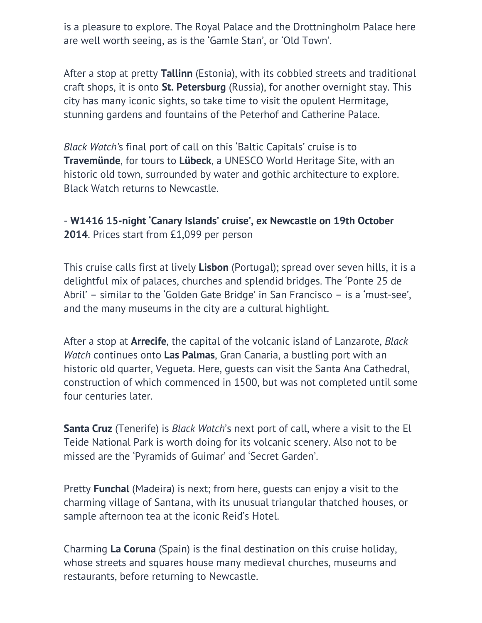is a pleasure to explore. The Royal Palace and the Drottningholm Palace here are well worth seeing, as is the 'Gamle Stan', or 'Old Town'.

After a stop at pretty **Tallinn** (Estonia), with its cobbled streets and traditional craft shops, it is onto **St. Petersburg** (Russia), for another overnight stay. This city has many iconic sights, so take time to visit the opulent Hermitage, stunning gardens and fountains of the Peterhof and Catherine Palace.

*Black Watch'*s final port of call on this 'Baltic Capitals' cruise is to **Travemünde**, for tours to **Lübeck**, a UNESCO World Heritage Site, with an historic old town, surrounded by water and gothic architecture to explore. Black Watch returns to Newcastle.

## - **W1416 15-night 'Canary Islands' cruise', ex Newcastle on 19th October 2014**. Prices start from £1,099 per person

This cruise calls first at lively **Lisbon** (Portugal); spread over seven hills, it is a delightful mix of palaces, churches and splendid bridges. The 'Ponte 25 de Abril' – similar to the 'Golden Gate Bridge' in San Francisco – is a 'must-see', and the many museums in the city are a cultural highlight.

After a stop at **Arrecife**, the capital of the volcanic island of Lanzarote, *Black Watch* continues onto **Las Palmas**, Gran Canaria, a bustling port with an historic old quarter, Vegueta. Here, guests can visit the Santa Ana Cathedral, construction of which commenced in 1500, but was not completed until some four centuries later.

**Santa Cruz** (Tenerife) is *Black Watch*'s next port of call, where a visit to the El Teide National Park is worth doing for its volcanic scenery. Also not to be missed are the 'Pyramids of Guimar' and 'Secret Garden'.

Pretty **Funchal** (Madeira) is next; from here, guests can enjoy a visit to the charming village of Santana, with its unusual triangular thatched houses, or sample afternoon tea at the iconic Reid's Hotel.

Charming **La Coruna** (Spain) is the final destination on this cruise holiday, whose streets and squares house many medieval churches, museums and restaurants, before returning to Newcastle.